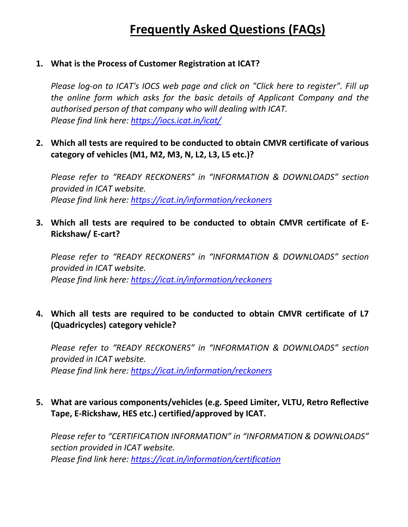# **Frequently Asked Questions (FAQs)**

## **1. What is the Process of Customer Registration at ICAT?**

*Please log-on to ICAT's IOCS web page and click on "Click here to register". Fill up the online form which asks for the basic details of Applicant Company and the authorised person of that company who will dealing with ICAT. Please find link here:<https://iocs.icat.in/icat/>*

**2. Which all tests are required to be conducted to obtain CMVR certificate of various category of vehicles (M1, M2, M3, N, L2, L3, L5 etc.)?**

*Please refer to "READY RECKONERS" in "INFORMATION & DOWNLOADS" section provided in ICAT website. Please find link here:<https://icat.in/information/reckoners>*

**3. Which all tests are required to be conducted to obtain CMVR certificate of E-Rickshaw/ E-cart?**

*Please refer to "READY RECKONERS" in "INFORMATION & DOWNLOADS" section provided in ICAT website. Please find link here:<https://icat.in/information/reckoners>*

# **4. Which all tests are required to be conducted to obtain CMVR certificate of L7 (Quadricycles) category vehicle?**

*Please refer to "READY RECKONERS" in "INFORMATION & DOWNLOADS" section provided in ICAT website. Please find link here:<https://icat.in/information/reckoners>*

# **5. What are various components/vehicles (e.g. Speed Limiter, VLTU, Retro Reflective Tape, E-Rickshaw, HES etc.) certified/approved by ICAT.**

*Please refer to "CERTIFICATION INFORMATION" in "INFORMATION & DOWNLOADS" section provided in ICAT website. Please find link here:<https://icat.in/information/certification>*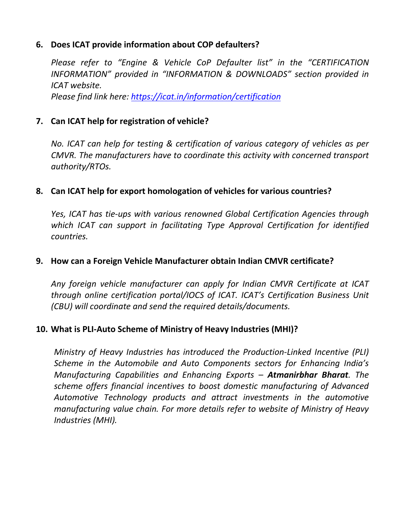## **6. Does ICAT provide information about COP defaulters?**

*Please refer to "Engine & Vehicle CoP Defaulter list" in the "CERTIFICATION INFORMATION" provided in "INFORMATION & DOWNLOADS" section provided in ICAT website. Please find link here:<https://icat.in/information/certification>*

# **7. Can ICAT help for registration of vehicle?**

*No. ICAT can help for testing & certification of various category of vehicles as per CMVR. The manufacturers have to coordinate this activity with concerned transport authority/RTOs.*

# **8. Can ICAT help for export homologation of vehicles for various countries?**

*Yes, ICAT has tie-ups with various renowned Global Certification Agencies through which ICAT can support in facilitating Type Approval Certification for identified countries.*

## **9. How can a Foreign Vehicle Manufacturer obtain Indian CMVR certificate?**

*Any foreign vehicle manufacturer can apply for Indian CMVR Certificate at ICAT through online certification portal/IOCS of ICAT. ICAT's Certification Business Unit (CBU) will coordinate and send the required details/documents.*

## **10. What is PLI-Auto Scheme of Ministry of Heavy Industries (MHI)?**

*Ministry of Heavy Industries has introduced the Production-Linked Incentive (PLI) Scheme in the Automobile and Auto Components sectors for Enhancing India's Manufacturing Capabilities and Enhancing Exports – Atmanirbhar Bharat. The scheme offers financial incentives to boost domestic manufacturing of Advanced Automotive Technology products and attract investments in the automotive manufacturing value chain. For more details refer to website of Ministry of Heavy Industries (MHI).*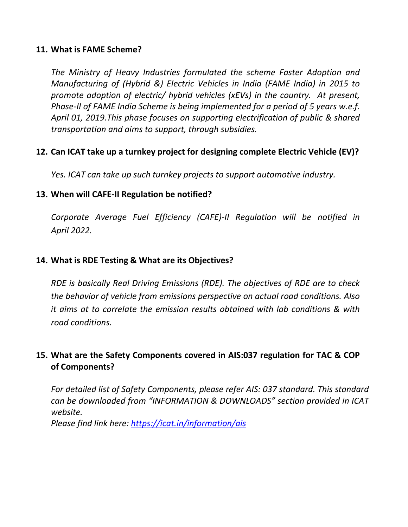#### **11. What is FAME Scheme?**

*The Ministry of Heavy Industries formulated the scheme Faster Adoption and Manufacturing of (Hybrid &) Electric Vehicles in India (FAME India) in 2015 to promote adoption of electric/ hybrid vehicles (xEVs) in the country. At present, Phase-II of FAME India Scheme is being implemented for a period of 5 years w.e.f. April 01, 2019.This phase focuses on supporting electrification of public & shared transportation and aims to support, through subsidies.* 

# **12. Can ICAT take up a turnkey project for designing complete Electric Vehicle (EV)?**

*Yes. ICAT can take up such turnkey projects to support automotive industry.*

## **13. When will CAFE-II Regulation be notified?**

*Corporate Average Fuel Efficiency (CAFE)-II Regulation will be notified in April 2022.*

## **14. What is RDE Testing & What are its Objectives?**

*RDE is basically Real Driving Emissions (RDE). The objectives of RDE are to check the behavior of vehicle from emissions perspective on actual road conditions. Also it aims at to correlate the emission results obtained with lab conditions & with road conditions.*

# **15. What are the Safety Components covered in AIS:037 regulation for TAC & COP of Components?**

*For detailed list of Safety Components, please refer AIS: 037 standard. This standard can be downloaded from "INFORMATION & DOWNLOADS" section provided in ICAT website.* 

*Please find link here: <https://icat.in/information/ais>*